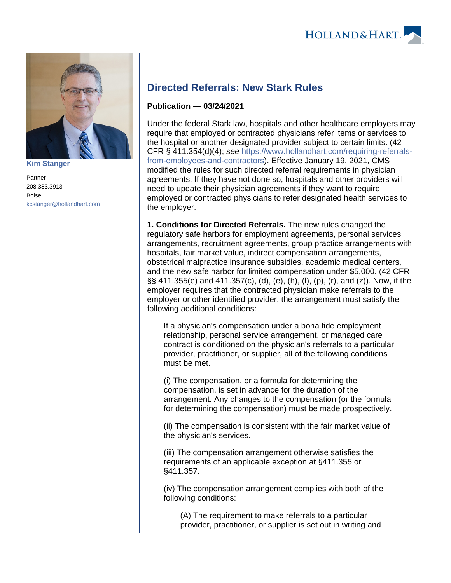



**[Kim Stanger](https://www.hollandhart.com/15954)**

Partner 208.383.3913 Boise [kcstanger@hollandhart.com](mailto:kcstanger@hollandhart.com)

## **Directed Referrals: New Stark Rules**

## **Publication — 03/24/2021**

Under the federal Stark law, hospitals and other healthcare employers may require that employed or contracted physicians refer items or services to the hospital or another designated provider subject to certain limits. (42 CFR § 411.354(d)(4); see [https://www.hollandhart.com/requiring-referrals](https://www.hollandhart.com/requiring-referrals-from-employees-and-contractors)[from-employees-and-contractors\)](https://www.hollandhart.com/requiring-referrals-from-employees-and-contractors). Effective January 19, 2021, CMS modified the rules for such directed referral requirements in physician agreements. If they have not done so, hospitals and other providers will need to update their physician agreements if they want to require employed or contracted physicians to refer designated health services to the employer.

**1. Conditions for Directed Referrals.** The new rules changed the regulatory safe harbors for employment agreements, personal services arrangements, recruitment agreements, group practice arrangements with hospitals, fair market value, indirect compensation arrangements, obstetrical malpractice insurance subsidies, academic medical centers, and the new safe harbor for limited compensation under \$5,000. (42 CFR §§ 411.355(e) and 411.357(c), (d), (e), (h), (l), (p), (r), and (z)). Now, if the employer requires that the contracted physician make referrals to the employer or other identified provider, the arrangement must satisfy the following additional conditions:

If a physician's compensation under a bona fide employment relationship, personal service arrangement, or managed care contract is conditioned on the physician's referrals to a particular provider, practitioner, or supplier, all of the following conditions must be met.

(i) The compensation, or a formula for determining the compensation, is set in advance for the duration of the arrangement. Any changes to the compensation (or the formula for determining the compensation) must be made prospectively.

(ii) The compensation is consistent with the fair market value of the physician's services.

(iii) The compensation arrangement otherwise satisfies the requirements of an applicable exception at §411.355 or §411.357.

(iv) The compensation arrangement complies with both of the following conditions:

(A) The requirement to make referrals to a particular provider, practitioner, or supplier is set out in writing and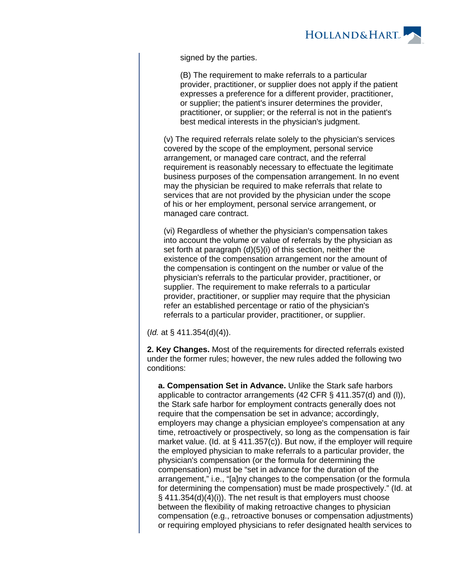

signed by the parties.

(B) The requirement to make referrals to a particular provider, practitioner, or supplier does not apply if the patient expresses a preference for a different provider, practitioner, or supplier; the patient's insurer determines the provider, practitioner, or supplier; or the referral is not in the patient's best medical interests in the physician's judgment.

(v) The required referrals relate solely to the physician's services covered by the scope of the employment, personal service arrangement, or managed care contract, and the referral requirement is reasonably necessary to effectuate the legitimate business purposes of the compensation arrangement. In no event may the physician be required to make referrals that relate to services that are not provided by the physician under the scope of his or her employment, personal service arrangement, or managed care contract.

(vi) Regardless of whether the physician's compensation takes into account the volume or value of referrals by the physician as set forth at paragraph (d)(5)(i) of this section, neither the existence of the compensation arrangement nor the amount of the compensation is contingent on the number or value of the physician's referrals to the particular provider, practitioner, or supplier. The requirement to make referrals to a particular provider, practitioner, or supplier may require that the physician refer an established percentage or ratio of the physician's referrals to a particular provider, practitioner, or supplier.

(Id. at § 411.354(d)(4)).

**2. Key Changes.** Most of the requirements for directed referrals existed under the former rules; however, the new rules added the following two conditions:

**a. Compensation Set in Advance.** Unlike the Stark safe harbors applicable to contractor arrangements (42 CFR § 411.357(d) and (l)), the Stark safe harbor for employment contracts generally does not require that the compensation be set in advance; accordingly, employers may change a physician employee's compensation at any time, retroactively or prospectively, so long as the compensation is fair market value. (Id. at  $\S$  411.357(c)). But now, if the employer will require the employed physician to make referrals to a particular provider, the physician's compensation (or the formula for determining the compensation) must be "set in advance for the duration of the arrangement," i.e., "[a]ny changes to the compensation (or the formula for determining the compensation) must be made prospectively." (Id. at § 411.354(d)(4)(i)). The net result is that employers must choose between the flexibility of making retroactive changes to physician compensation (e.g., retroactive bonuses or compensation adjustments) or requiring employed physicians to refer designated health services to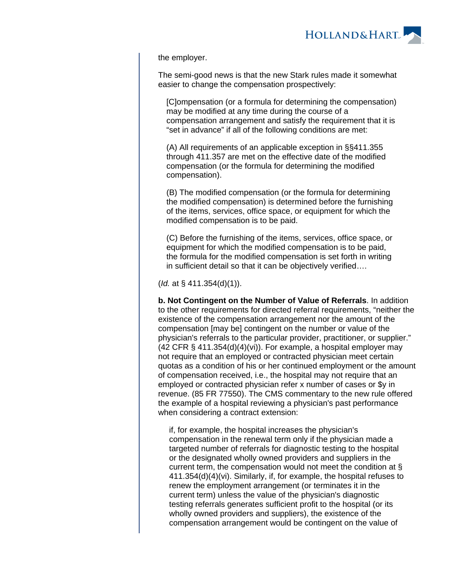the employer.

The semi-good news is that the new Stark rules made it somewhat easier to change the compensation prospectively:

[C]ompensation (or a formula for determining the compensation) may be modified at any time during the course of a compensation arrangement and satisfy the requirement that it is "set in advance" if all of the following conditions are met:

(A) All requirements of an applicable exception in §§411.355 through 411.357 are met on the effective date of the modified compensation (or the formula for determining the modified compensation).

(B) The modified compensation (or the formula for determining the modified compensation) is determined before the furnishing of the items, services, office space, or equipment for which the modified compensation is to be paid.

(C) Before the furnishing of the items, services, office space, or equipment for which the modified compensation is to be paid, the formula for the modified compensation is set forth in writing in sufficient detail so that it can be objectively verified….

 $(Id. at § 411.354(d)(1)).$ 

**b. Not Contingent on the Number of Value of Referrals**. In addition to the other requirements for directed referral requirements, "neither the existence of the compensation arrangement nor the amount of the compensation [may be] contingent on the number or value of the physician's referrals to the particular provider, practitioner, or supplier."  $(42$  CFR § 411.354 $(d)(4)(vi)$ . For example, a hospital employer may not require that an employed or contracted physician meet certain quotas as a condition of his or her continued employment or the amount of compensation received, i.e., the hospital may not require that an employed or contracted physician refer x number of cases or \$y in revenue. (85 FR 77550). The CMS commentary to the new rule offered the example of a hospital reviewing a physician's past performance when considering a contract extension:

if, for example, the hospital increases the physician's compensation in the renewal term only if the physician made a targeted number of referrals for diagnostic testing to the hospital or the designated wholly owned providers and suppliers in the current term, the compensation would not meet the condition at § 411.354(d)(4)(vi). Similarly, if, for example, the hospital refuses to renew the employment arrangement (or terminates it in the current term) unless the value of the physician's diagnostic testing referrals generates sufficient profit to the hospital (or its wholly owned providers and suppliers), the existence of the compensation arrangement would be contingent on the value of